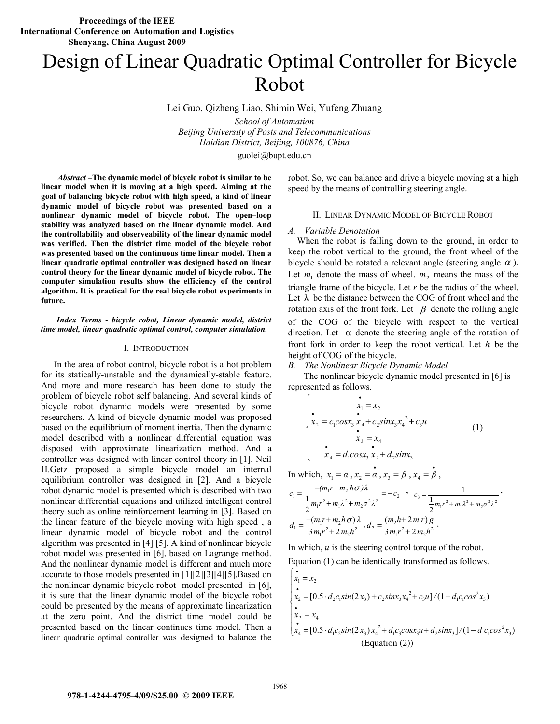# Design of Linear Quadratic Optimal Controller for Bicycle Robot

Lei Guo, Qizheng Liao, Shimin Wei, Yufeng Zhuang

*School of Automation Beijing University of Posts and Telecommunications Haidian District, Beijing, 100876, China* 

guolei@bupt.edu.cn

*Abstract* **–The dynamic model of bicycle robot is similar to be linear model when it is moving at a high speed. Aiming at the goal of balancing bicycle robot with high speed, a kind of linear dynamic model of bicycle robot was presented based on a nonlinear dynamic model of bicycle robot. The open–loop stability was analyzed based on the linear dynamic model. And the controllability and observeability of the linear dynamic model was verified. Then the district time model of the bicycle robot was presented based on the continuous time linear model. Then a linear quadratic optimal controller was designed based on linear control theory for the linear dynamic model of bicycle robot. The computer simulation results show the efficiency of the control algorithm. It is practical for the real bicycle robot experiments in future.** 

#### *Index Terms - bicycle robot, Linear dynamic model, district time model, linear quadratic optimal control, computer simulation.*

#### I. INTRODUCTION

In the area of robot control, bicycle robot is a hot problem for its statically-unstable and the dynamically-stable feature. And more and more research has been done to study the problem of bicycle robot self balancing. And several kinds of bicycle robot dynamic models were presented by some researchers. A kind of bicycle dynamic model was proposed based on the equilibrium of moment inertia. Then the dynamic model described with a nonlinear differential equation was disposed with approximate linearization method. And a controller was designed with linear control theory in [1]. Neil H.Getz proposed a simple bicycle model an internal equilibrium controller was designed in [2]. And a bicycle robot dynamic model is presented which is described with two nonlinear differential equations and utilized intelligent control theory such as online reinforcement learning in [3]. Based on the linear feature of the bicycle moving with high speed , a linear dynamic model of bicycle robot and the control algorithm was presented in [4] [5]. A kind of nonlinear bicycle robot model was presented in [6], based on Lagrange method. And the nonlinear dynamic model is different and much more accurate to those models presented in [1][2][3][4][5].Based on the nonlinear dynamic bicycle robot model presented in [6], it is sure that the linear dynamic model of the bicycle robot could be presented by the means of approximate linearization at the zero point. And the district time model could be presented based on the linear continues time model. Then a linear quadratic optimal controller was designed to balance the

robot. So, we can balance and drive a bicycle moving at a high speed by the means of controlling steering angle.

# II. LINEAR DYNAMIC MODEL OF BICYCLE ROBOT

#### *A. Variable Denotation*

When the robot is falling down to the ground, in order to keep the robot vertical to the ground, the front wheel of the bicycle should be rotated a relevant angle (steering angle  $\alpha$ ). Let  $m_1$  denote the mass of wheel.  $m_2$  means the mass of the triangle frame of the bicycle. Let *r* be the radius of the wheel. Let  $\lambda$  be the distance between the COG of front wheel and the rotation axis of the front fork. Let  $\beta$  denote the rolling angle of the COG of the bicycle with respect to the vertical direction. Let  $\alpha$  denote the steering angle of the rotation of front fork in order to keep the robot vertical. Let *h* be the height of COG of the bicycle.

#### *B. The Nonlinear Bicycle Dynamic Model*

 The nonlinear bicycle dynamic model presented in [6] is represented as follows.

$$
\begin{cases}\n\dot{x}_1 = x_2 \\
x_2 = c_1 \cos x_3 x_4 + c_2 \sin x_3 x_4^2 + c_3 u \\
\dot{x}_3 = x_4 \\
\dot{x}_4 = d_1 \cos x_3 x_2 + d_2 \sin x_3\n\end{cases}
$$
\n(1)

In which,  $x_1 = \alpha$ ,  $x_2 = \alpha$ ,  $x_3 = \beta$ ,  $x_4 = \beta$ ,

$$
c_1 = \frac{-(m_1r + m_2 h\sigma)\lambda}{\frac{1}{2}m_1r^2 + m_1\lambda^2 + m_2\sigma^2\lambda^2} = -c_2 , c_3 = \frac{1}{\frac{1}{2}m_1r^2 + m_1\lambda^2 + m_2\sigma^2\lambda^2},
$$
  

$$
d_1 = \frac{-(m_1r + m_2h\sigma)\lambda}{3m_1r^2 + 2m_2h^2}, d_2 = \frac{(m_2h + 2m_1r)g}{3m_1r^2 + 2m_2h^2}.
$$

In which, *u* is the steering control torque of the robot.

Equation (1) can be identically transformed as follows.

$$
\begin{cases}\n\dot{x}_1 = x_2 \\
\dot{x}_2 = [0.5 \cdot d_2 c_1 \sin(2x_3) + c_2 \sin x_3 x_4^2 + c_3 u]/(1 - d_1 c_1 \cos^2 x_3) \\
\dot{x}_3 = x_4 \\
\dot{x}_4 = [0.5 \cdot d_1 c_2 \sin(2x_3) x_4^2 + d_1 c_3 \cos x_3 u + d_2 \sin x_3]/(1 - d_1 c_1 \cos^2 x_3) \\
\text{(Equation (2))}\n\end{cases}
$$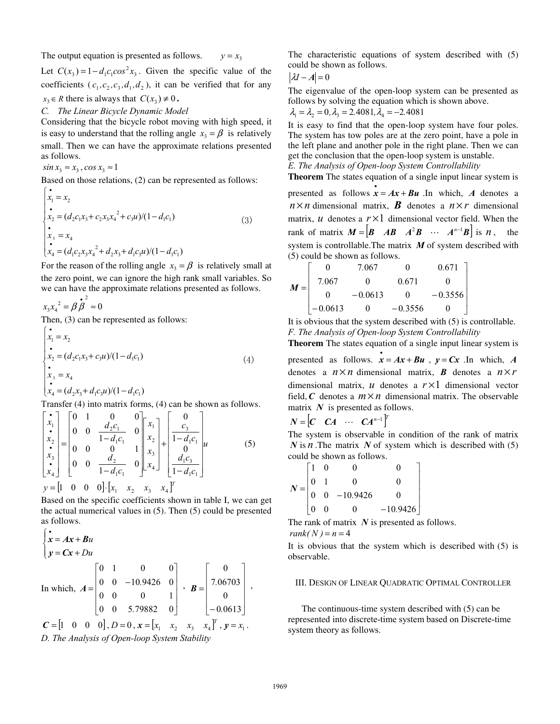The output equation is presented as follows.  $y = x_3$ 

Let  $C(x_3) = 1 - d_1 c_1 \cos^2 x_3$ . Given the specific value of the coefficients  $(c_1, c_2, c_3, d_1, d_2)$ , it can be verified that for any  $x_3 \in R$  there is always that  $C(x_3) \neq 0$ .

## *C. The Linear Bicycle Dynamic Model*

Considering that the bicycle robot moving with high speed, it is easy to understand that the rolling angle  $x_3 = \beta$  is relatively small. Then we can have the approximate relations presented as follows.

 $sin x_3 \approx x_3$ ,  $cos x_3 \approx 1$ 

Based on those relations, (2) can be represented as follows:

$$
\begin{cases}\n\dot{x}_1 = x_2 \\
\dot{x}_2 = (d_2c_1x_3 + c_2x_3x_4^2 + c_3u)/(1 - d_1c_1) \\
\dot{x}_3 = x_4 \\
\dot{x}_4 = (d_1c_2x_3x_4^2 + d_2x_3 + d_1c_3u)/(1 - d_1c_1)\n\end{cases}
$$
\n(3)

For the reason of the rolling angle  $x_3 = \beta$  is relatively small at the zero point, we can ignore the high rank small variables. So we can have the approximate relations presented as follows.

$$
x_3x_4^2 = \beta \stackrel{\bullet}{\beta}^2 \approx 0
$$
  
Then, (3) can be represented as follows:  

$$
\begin{cases}\n\vdots \\
x_1 = x_2 \\
\vdots \\
x_2 = (d_2c_1x_3 + c_3u)/(1 - d_1c_1) \\
\vdots \\
x_3 = x_4\n\end{cases}
$$
(4)

$$
\dot{x}_4 = (d_2x_3 + d_1c_3u)/(1 - d_1c_1)
$$

Transfer (4) into matrix forms, (4) can be shown as follows.

$$
\begin{bmatrix} \mathbf{i} \\ \mathbf{x}_1 \\ \mathbf{x}_2 \\ \mathbf{x}_3 \\ \mathbf{x}_4 \end{bmatrix} = \begin{bmatrix} 0 & 1 & 0 & 0 \\ 0 & 0 & \frac{d_2 c_1}{1 - d_1 c_1} & 0 \\ 0 & 0 & 0 & 1 \\ 0 & 0 & \frac{d_2}{1 - d_1 c_1} & 0 \end{bmatrix} \begin{bmatrix} x_1 \\ x_2 \\ x_3 \\ x_4 \end{bmatrix} + \begin{bmatrix} 0 \\ c_3 \\ 1 - d_1 c_1 \\ 0 \\ \frac{d_1 c_3}{1 - d_1 c_1} \end{bmatrix} u
$$
(5)  

$$
y = \begin{bmatrix} 1 & 0 & 0 & 0 \end{bmatrix} \cdot \begin{bmatrix} x_1 \\ x_2 \\ x_3 \end{bmatrix} + \begin{bmatrix} 0 \\ x_2 \\ x_3 \end{bmatrix} + \begin{bmatrix} 0 \\ 1 - d_1 c_1 \\ \frac{d_1 c_3}{1 - d_1 c_1} \end{bmatrix} u
$$

Based on the specific coefficients shown in table I, we can get the actual numerical values in (5). Then (5) could be presented as follows.

$$
\begin{cases}\n\dot{\mathbf{x}} = A\mathbf{x} + B\mathbf{u} \\
\mathbf{y} = C\mathbf{x} + D\mathbf{u}\n\end{cases}
$$
\nIn which,  $A = \begin{bmatrix}\n0 & 1 & 0 & 0 \\
0 & 0 & -10.9426 & 0 \\
0 & 0 & 0 & 1 \\
0 & 0 & 5.79882 & 0\n\end{bmatrix}$ ,  $B = \begin{bmatrix}\n0 \\
7.06703 \\
0 \\
-0.0613\n\end{bmatrix}$ ,  $C = \begin{bmatrix}\n1 & 0 & 0 & 0\n\end{bmatrix}$ ,  $D = 0$ ,  $\mathbf{x} = \begin{bmatrix}\nx_1 & x_2 & x_3 & x_4\n\end{bmatrix}^T$ ,  $\mathbf{y} = x_1$ .

*D. The Analysis of Open-loop System Stability* 

The characteristic equations of system described with (5) could be shown as follows.

$$
|\lambda I - A| = 0
$$

The eigenvalue of the open-loop system can be presented as follows by solving the equation which is shown above.

$$
\lambda_1 = \lambda_2 = 0, \lambda_3 = 2.4081, \lambda_4 = -2.4081
$$

It is easy to find that the open-loop system have four poles. The system has tow poles are at the zero point, have a pole in the left plane and another pole in the right plane. Then we can get the conclusion that the open-loop system is unstable. *E. The Analysis of Open-loop System Controllability* 

**Theorem** The states equation of a single input linear system is

presented as follows  $\mathbf{\dot{x}} = A\mathbf{x} + B\mathbf{u}$ . In which, *A* denotes a  $n \times n$  dimensional matrix, **B** denotes a  $n \times r$  dimensional matrix,  $u$  denotes a  $r \times 1$  dimensional vector field. When the rank of matrix  $M = \begin{vmatrix} B & AB & A^2B & \cdots & A^{n-1}B \end{vmatrix}$  is *n*, the system is controllable.The matrix *M* of system described with (5) could be shown as follows.

$$
M = \begin{bmatrix} 0 & 7.067 & 0 & 0.671 \\ 7.067 & 0 & 0.671 & 0 \\ 0 & -0.0613 & 0 & -0.3556 \\ -0.0613 & 0 & -0.3556 & 0 \end{bmatrix}
$$

It is obvious that the system described with (5) is controllable. *F. The Analysis of Open-loop System Controllability* 

**Theorem** The states equation of a single input linear system is

presented as follows.  $\mathbf{\dot{x}} = A\mathbf{x} + B\mathbf{u}$ ,  $\mathbf{y} = C\mathbf{x}$ . In which, *A* denotes a  $n \times n$  dimensional matrix, **B** denotes a  $n \times r$ dimensional matrix, *u* denotes a *r* ×1 dimensional vector field, C denotes a  $m \times n$  dimensional matrix. The observable matrix *N* is presented as follows.

$$
N = \begin{bmatrix} C & CA & \cdots & CA^{n-1} \end{bmatrix}^T
$$

The system is observable in condition of the rank of matrix *N* is *n* .The matrix *N* of system which is described with (5) could be shown as follows.

|                 | $\overline{0}$                                                    | 0        |            |
|-----------------|-------------------------------------------------------------------|----------|------------|
|                 | $N = \begin{vmatrix} 0 & 1 & 0 \\ 0 & 0 & -10.9426 \end{vmatrix}$ | 0        |            |
|                 |                                                                   |          |            |
| $\vert 0 \vert$ | $\overline{0}$                                                    | $\Omega$ | $-10.9426$ |

The rank of matrix *N* is presented as follows.  $rank(N) = n = 4$ 

It is obvious that the system which is described with (5) is observable.

#### III. DESIGN OF LINEAR QUADRATIC OPTIMAL CONTROLLER

The continuous-time system described with (5) can be represented into discrete-time system based on Discrete-time system theory as follows.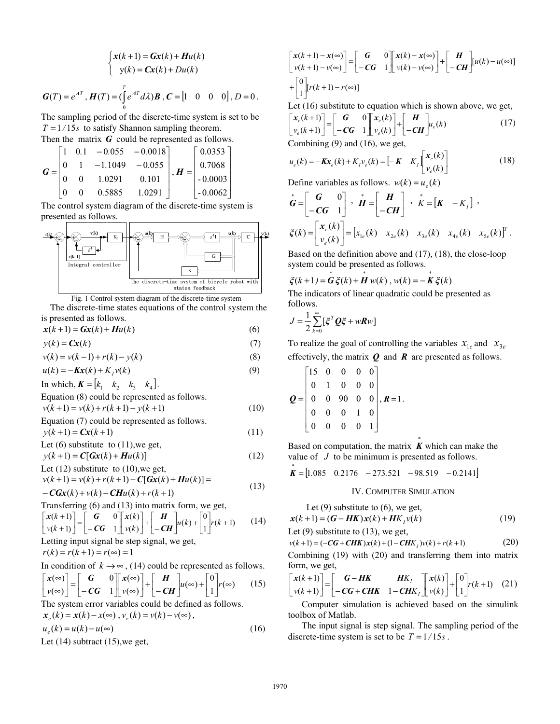$$
\begin{cases}\n\mathbf{x}(k+1) = \mathbf{G}\mathbf{x}(k) + \mathbf{H}u(k) \\
\mathbf{y}(k) = \mathbf{C}\mathbf{x}(k) + Du(k)\n\end{cases}
$$
\n
$$
\mathbf{G}(T) = e^{AT}, \mathbf{H}(T) = (\int_{0}^{T} e^{AT} d\lambda) \mathbf{B}, \mathbf{C} = \begin{bmatrix} 1 & 0 & 0 & 0 \end{bmatrix}, D = 0.
$$

The sampling period of the discrete-time system is set to be  $T = 1/15s$  to satisfy Shannon sampling theorem.

Then the matrix **G** could be represented as follows.

$$
\boldsymbol{G} = \begin{bmatrix} 1 & 0.1 & -0.055 & -0.0018 \\ 0 & 1 & -1.1049 & -0.055 \\ 0 & 0 & 1.0291 & 0.101 \\ 0 & 0 & 0.5885 & 1.0291 \end{bmatrix}, \boldsymbol{H} = \begin{bmatrix} 0.0353 \\ 0.7068 \\ -0.0003 \\ -0.0062 \end{bmatrix}
$$

The control system diagram of the discrete-time system is presented as follows.



Fig. 1 Control system diagram of the discrete-time system

The discrete-time states equations of the control system the is presented as follows.

 $x(k+1) = Gx(k) + Hu(k)$  (6)

 $y(k) = Cx(k)$  (7)

 $v(k) = v(k-1) + r(k) - y(k)$  (8)

$$
u(k) = -Kx(k) + K_I v(k)
$$
\n(9)

In which,  $\mathbf{K} = \begin{bmatrix} k_1 & k_2 & k_3 & k_4 \end{bmatrix}$ .

Equation (8) could be represented as follows.

 $v(k+1) = v(k) + r(k+1) - y(k+1)$  (10)

Equation (7) could be represented as follows.  

$$
y(k+1) = Cx(k+1)
$$
 (11)

Let (6) substitute to (11), we get, 
$$
(1)
$$
 and  $(1)$ .

$$
y(k+1) = C[Gx(k) + Hu(k)]
$$
\n
$$
L \neq (12)
$$
 substitute to (10) we get

Let (12) substitute to (10), we get,  
\n
$$
v(k+1) = v(k) + r(k+1) - C[Gx(k) + Hu(k)] =
$$
 (13)

$$
-C Gx(k) + v(k) - CHu(k) + r(k+1)
$$

Transferring (6) and (13) into matrix form, we get,

$$
\begin{bmatrix} x(k+1) \ y(k+1) \end{bmatrix} = \begin{bmatrix} G & 0 \ -CG & 1 \end{bmatrix} \begin{bmatrix} x(k) \ y(k) \end{bmatrix} + \begin{bmatrix} H \ -CH \end{bmatrix} u(k) + \begin{bmatrix} 0 \ 1 \end{bmatrix} r(k+1)
$$
 (14)

Letting input signal be step signal, we get,

$$
r(k) = r(k+1) = r(\infty) = 1
$$

In condition of 
$$
k \to \infty
$$
, (14) could be represented as follows.  
\n
$$
\begin{bmatrix} x(\infty) \\ v(\infty) \end{bmatrix} = \begin{bmatrix} G & 0 \\ -CG & 1 \end{bmatrix} \begin{bmatrix} x(\infty) \\ v(\infty) \end{bmatrix} + \begin{bmatrix} H \\ -CH \end{bmatrix} u(\infty) + \begin{bmatrix} 0 \\ 1 \end{bmatrix} r(\infty) \tag{15}
$$

$$
\begin{bmatrix} \alpha & \beta \\ \nu(\infty) \end{bmatrix} = \begin{bmatrix} -CG & 1 \\ -CG & 1 \end{bmatrix} \begin{bmatrix} \alpha & \beta \\ \nu(\infty) \end{bmatrix} + \begin{bmatrix} -CH \\ -CH \end{bmatrix} u(\infty) + \begin{bmatrix} \gamma(\infty) & (1) \\ 1 & \gamma(\infty) \end{bmatrix} u(\infty)
$$
  
The system error variables could be defined as follows.

$$
\mathbf{x}_{e}(k) = \mathbf{x}(k) - \mathbf{x}(\infty), \, \mathbf{v}_{e}(k) = \mathbf{v}(k) - \mathbf{v}(\infty),
$$

$$
u_e(k) = u(k) - u(\infty)
$$
  
Let (14) subtract (15), we get, (16)

$$
\begin{bmatrix} x(k+1) - x(\infty) \\ v(k+1) - v(\infty) \end{bmatrix} = \begin{bmatrix} G & 0 \\ -CG & 1 \end{bmatrix} \begin{bmatrix} x(k) - x(\infty) \\ v(k) - v(\infty) \end{bmatrix} + \begin{bmatrix} H \\ -CH \end{bmatrix} [u(k) - u(\infty)]
$$
  
+ 
$$
\begin{bmatrix} 0 \\ 1 \end{bmatrix} [r(k+1) - r(\infty)]
$$

Let (16) substitute to equation which is shown above, we get,

$$
\begin{bmatrix} x_e(k+1) \\ v_e(k+1) \end{bmatrix} = \begin{bmatrix} G & 0 \\ -CG & 1 \end{bmatrix} \begin{bmatrix} x_e(k) \\ v_e(k) \end{bmatrix} + \begin{bmatrix} H \\ -CH \end{bmatrix} u_e(k)
$$
\n(17)

Combining (9) and (16), we get,

$$
u_e(k) = -Kx_e(k) + K_I v_e(k) = \begin{bmatrix} -K & K_I \begin{bmatrix} x_e(k) \\ v_e(k) \end{bmatrix} \end{bmatrix}
$$
 (18)

Define variables as follows. 
$$
w(k) = u_e(k)
$$

$$
\dot{\mathbf{G}} = \begin{bmatrix} \mathbf{G} & 0 \\ -\mathbf{CG} & 1 \end{bmatrix}, \quad \dot{\mathbf{H}} = \begin{bmatrix} \mathbf{H} \\ -\mathbf{CH} \end{bmatrix}, \quad \dot{\mathbf{K}} = \begin{bmatrix} \mathbf{K} & -K_I \end{bmatrix},
$$
\n
$$
\xi(k) = \begin{bmatrix} x_e(k) \\ v_e(k) \end{bmatrix} = \begin{bmatrix} x_{1e}(k) & x_{2e}(k) & x_{3e}(k) & x_{4e}(k) & x_{5e}(k) \end{bmatrix}^T.
$$

Based on the definition above and (17), (18), the close-loop system could be presented as follows.

$$
\xi(k+1) = G \xi(k) + H w(k), w(k) = -K \xi(k)
$$

The indicators of linear quadratic could be presented as follows.

$$
J = \frac{1}{2} \sum_{k=0}^{\infty} [\xi^T \mathbf{Q} \xi + w \mathbf{R} w]
$$

To realize the goal of controlling the variables  $x_{1e}$  and  $x_{3e}$ effectively, the matrix *Q* and *R* are presented as follows.

$$
\mathbf{Q} = \begin{bmatrix} 15 & 0 & 0 & 0 & 0 \\ 0 & 1 & 0 & 0 & 0 \\ 0 & 0 & 90 & 0 & 0 \\ 0 & 0 & 0 & 1 & 0 \\ 0 & 0 & 0 & 0 & 1 \end{bmatrix}, \mathbf{R} = 1.
$$

Based on computation, the matrix *\* K* which can make the value of *J* to be minimum is presented as follows.

$$
\stackrel{*}{\mathbf{K}} = [1.085 \quad 0.2176 \quad -273.521 \quad -98.519 \quad -0.2141]
$$

### IV. COMPUTER SIMULATION

Let 
$$
(9)
$$
 substitute to  $(6)$ , we get,

$$
x(k+1) = (G - HK)x(k) + HK_1v(k)
$$
\n(19)

Let (9) substitute to (13), we get,

$$
v(k+1) = (-CG + CHK)x(k) + (1 - CHK1)v(k) + r(k+1)
$$
 (20)

Combining (19) with (20) and transferring them into matrix form, we get,

$$
\begin{bmatrix} x(k+1) \\ v(k+1) \end{bmatrix} = \begin{bmatrix} G - HK & HK_I \\ - CG + CHK & 1 - CHK_I \end{bmatrix} \begin{bmatrix} x(k) \\ v(k) \end{bmatrix} + \begin{bmatrix} 0 \\ 1 \end{bmatrix} r(k+1) \quad (21)
$$

 Computer simulation is achieved based on the simulink toolbox of Matlab.

The input signal is step signal. The sampling period of the discrete-time system is set to be  $T = 1/15s$ .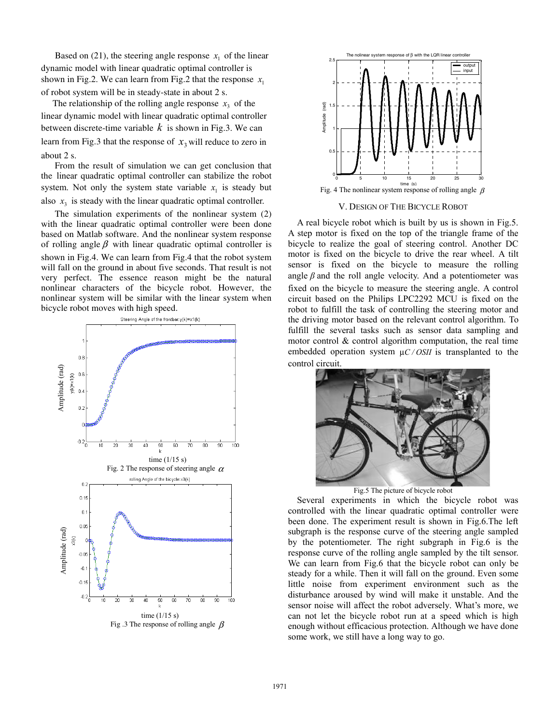Based on (21), the steering angle response  $x_1$  of the linear dynamic model with linear quadratic optimal controller is shown in Fig.2. We can learn from Fig.2 that the response  $x_1$ of robot system will be in steady-state in about 2 s.

The relationship of the rolling angle response  $x<sub>3</sub>$  of the linear dynamic model with linear quadratic optimal controller between discrete-time variable *k* is shown in Fig.3. We can learn from Fig.3 that the response of  $x_3$  will reduce to zero in about 2 s.

From the result of simulation we can get conclusion that the linear quadratic optimal controller can stabilize the robot system. Not only the system state variable  $x<sub>1</sub>$  is steady but also  $x<sub>3</sub>$  is steady with the linear quadratic optimal controller.

The simulation experiments of the nonlinear system (2) with the linear quadratic optimal controller were been done based on Matlab software. And the nonlinear system response of rolling angle  $\beta$  with linear quadratic optimal controller is shown in Fig.4. We can learn from Fig.4 that the robot system will fall on the ground in about five seconds. That result is not very perfect. The essence reason might be the natural nonlinear characters of the bicycle robot. However, the nonlinear system will be similar with the linear system when bicycle robot moves with high speed.





#### V. DESIGN OF THE BICYCLE ROBOT

A real bicycle robot which is built by us is shown in Fig.5. A step motor is fixed on the top of the triangle frame of the bicycle to realize the goal of steering control. Another DC motor is fixed on the bicycle to drive the rear wheel. A tilt sensor is fixed on the bicycle to measure the rolling angle  $\beta$  and the roll angle velocity. And a potentiometer was fixed on the bicycle to measure the steering angle. A control circuit based on the Philips LPC2292 MCU is fixed on the robot to fulfill the task of controlling the steering motor and the driving motor based on the relevant control algorithm. To fulfill the several tasks such as sensor data sampling and motor control & control algorithm computation, the real time embedded operation system μ*C / OSII* is transplanted to the control circuit.



Fig.5 The picture of bicycle robot

Several experiments in which the bicycle robot was controlled with the linear quadratic optimal controller were been done. The experiment result is shown in Fig.6.The left subgraph is the response curve of the steering angle sampled by the potentiometer. The right subgraph in Fig.6 is the response curve of the rolling angle sampled by the tilt sensor. We can learn from Fig.6 that the bicycle robot can only be steady for a while. Then it will fall on the ground. Even some little noise from experiment environment such as the disturbance aroused by wind will make it unstable. And the sensor noise will affect the robot adversely. What's more, we can not let the bicycle robot run at a speed which is high enough without efficacious protection. Although we have done some work, we still have a long way to go.